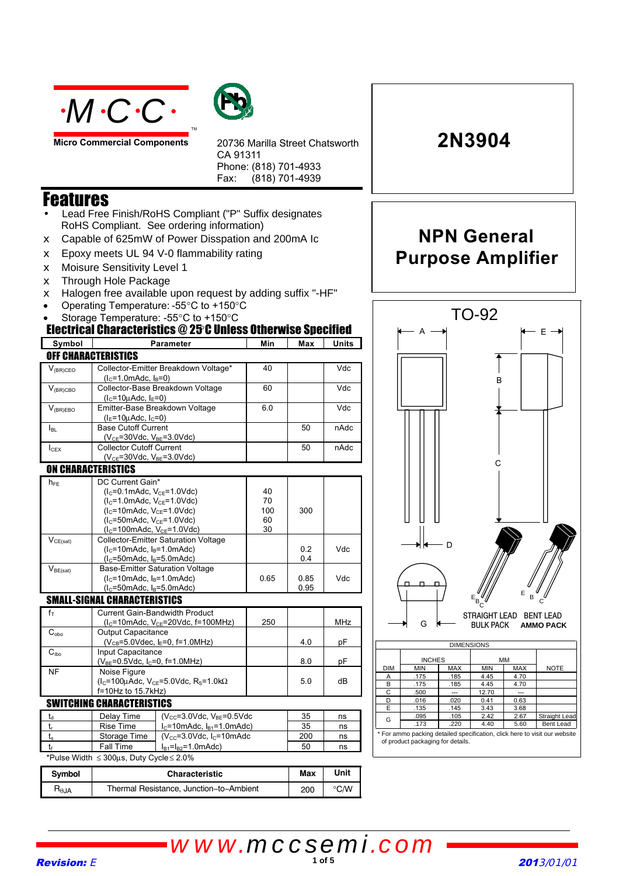



**Micro Commercial Components**

20736 Marilla Street Chatsworth CA 91311 Phone: (818) 701-4933 Fax: (818) 701-4939

### Features

- Lead Free Finish/RoHS Compliant ("P" Suffix designates RoHS Compliant. See ordering information)
- $\epsilon$  Capable of 625mW of Power Disspation and 200mA Ic
- $\epsilon$  Epoxy meets UL 94 V-0 flammability rating
- x Moisure Sensitivity Level 1
- $\epsilon$  Through Hole Package
- $\epsilon$  Halogen free available upon request by adding suffix "-HF"
- Operating Temperature: -55°C to +150°C
- Storage Temperature: -55°C to +150°C

#### Electrical Characteristics @ 25°C Unless Otherwise Specified

| Symbol                              | Parameter                                                                                    |                                         | Min  | Max                              | Units |
|-------------------------------------|----------------------------------------------------------------------------------------------|-----------------------------------------|------|----------------------------------|-------|
| <b>OFF CHARACTERISTICS</b>          |                                                                                              |                                         |      |                                  |       |
|                                     |                                                                                              |                                         | 40   |                                  | Vdc   |
| $V_{\text{(BR)CEO}}$                | Collector-Emitter Breakdown Voltage*<br>$(l_c=1.0$ mAdc, $l_B=0)$                            |                                         |      |                                  |       |
| $V_{(BR)CBO}$                       | Collector-Base Breakdown Voltage<br>$(IC=10\mu Adc, IF=0)$                                   |                                         | 60   |                                  | Vdc   |
| $V_{(BR)EBO}$                       | Emitter-Base Breakdown Voltage<br>$(I_F = 10 \mu \text{Adc}, I_C = 0)$                       |                                         | 6.0  |                                  | Vdc   |
| I <sub>BL</sub>                     | <b>Base Cutoff Current</b><br>( $V_{CE}$ =30Vdc, $V_{BE}$ =3.0Vdc)                           |                                         |      | 50                               | nAdc  |
| $I_{CEX}$                           | <b>Collector Cutoff Current</b>                                                              |                                         | 50   | nAdc                             |       |
|                                     | $(V_{CE} = 30$ Vdc, $V_{BE} = 3.0$ Vdc)                                                      |                                         |      |                                  |       |
| <b>ON CHARACTERISTICS</b>           |                                                                                              |                                         |      |                                  |       |
| $h_{FE}$                            | DC Current Gain*                                                                             |                                         |      |                                  |       |
|                                     | $(lC=0.1mAdc, VCE=1.0Vdc)$                                                                   |                                         | 40   |                                  |       |
|                                     | $(l_c=1.0$ mAdc, $V_{CE}=1.0$ Vdc)                                                           |                                         | 70   |                                  |       |
|                                     | $(lC=10mAdc, VCE=1.0Vdc)$                                                                    |                                         | 100  | 300                              |       |
|                                     | $(l_c = 50$ mAdc, $V_{CE} = 1.0$ Vdc)                                                        |                                         | 60   |                                  |       |
|                                     | $(lC=100mAdc, VCE=1.0Vdc)$<br>30                                                             |                                         |      |                                  |       |
| $V_{CE(sat)}$                       | <b>Collector-Emitter Saturation Voltage</b>                                                  |                                         |      |                                  |       |
|                                     | $(lC=10mAdc, lB=1.0mAdc)$                                                                    |                                         |      | 0.2                              | Vdc   |
| $V_{BE(sat)}$                       | $(lc=50mAdc, lB=5.0mAdc)$<br>0.4<br><b>Base-Emitter Saturation Voltage</b>                   |                                         |      |                                  |       |
|                                     | $(lC=10mAdc, lB=1.0mAdc)$                                                                    |                                         | 0.65 | 0.85                             | Vdc   |
|                                     | $(lC=50mAdc, lB=5.0mAdc)$                                                                    |                                         |      | 0.95                             |       |
| <b>SMALL-SIGNAL CHARACTERISTICS</b> |                                                                                              |                                         |      |                                  |       |
| $f_{\top}$                          | <b>Current Gain-Bandwidth Product</b>                                                        |                                         |      |                                  |       |
|                                     | $(lC=10mAdc, VCE=20Vdc, f=100MHz)$                                                           |                                         | 250  |                                  | MHz   |
| $C_{\alpha bo}$                     | <b>Output Capacitance</b><br>$(V_{CB} = 5.0$ Vdec, $I_E = 0$ , f=1.0MHz)                     |                                         |      |                                  |       |
|                                     |                                                                                              |                                         |      | 4.0                              | рF    |
| C <sub>i</sub>                      | Input Capacitance                                                                            |                                         |      |                                  |       |
|                                     | $(V_{BE} = 0.5$ Vdc, $I_C = 0$ , f=1.0MHz)                                                   |                                         |      | 8.0                              | рF    |
| ΝF                                  | Noise Figure<br>$(I_c=100\mu$ Adc, V <sub>CE</sub> =5.0Vdc, R <sub>S</sub> =1.0k $\Omega$    |                                         |      |                                  |       |
|                                     |                                                                                              |                                         |      | 5.0                              | dB    |
|                                     | f=10Hz to 15.7kHz)                                                                           |                                         |      |                                  |       |
|                                     | <b>SWITCHING CHARACTERISTICS</b>                                                             |                                         |      |                                  |       |
| $t_d$                               | Delay Time                                                                                   | $(V_{CC} = 3.0$ Vdc, $V_{BE} = 0.5$ Vdc |      | 35                               | ns    |
| $t_{r}$                             | <b>Rise Time</b><br>$I_c$ =10mAdc, $I_{B1}$ =1.0mAdc)                                        |                                         |      | 35                               | ns    |
| $t_{\rm s}$                         | Storage Time<br>$(V_{\text{cc}}=3.0 \text{Vdc}, I_{\text{c}}=10 \text{m} \text{Ad} \text{c}$ |                                         |      | 200                              | ns    |
| t                                   | Fall Time<br>$I_{B1} = I_{B2} = 1.0$ mAdc)                                                   |                                         |      | 50                               | ns    |
|                                     | *Pulse Width ≤ 300µs, Duty Cycle ≤ 2.0%                                                      |                                         |      |                                  |       |
| Symbol                              | <b>Characteristic</b>                                                                        |                                         | Max  | Unit                             |       |
| $R_{\theta JA}$                     | Thermal Resistance, Junction-to-Ambient                                                      |                                         | 200  | $\mathrm{^{\circ} C}/\mathrm{W}$ |       |

# **NPN General Purpose Amplifier**

**2N3904**



For ammo packing detailed specification, click here to visit our website of product packaging for details. .<sup>173</sup> .<sup>220</sup> 4.40 5.60 Bent Lead <sup>G</sup>

105 2.42 2.67 Straight Lead<br>
2.67 Straight Lead<br>
2.20 4.40 5.60 Bent Lead

E .135 .145 3.43 3.68

Revision: E **1 of 5** 2013/01/01 *www.mccsemi.com*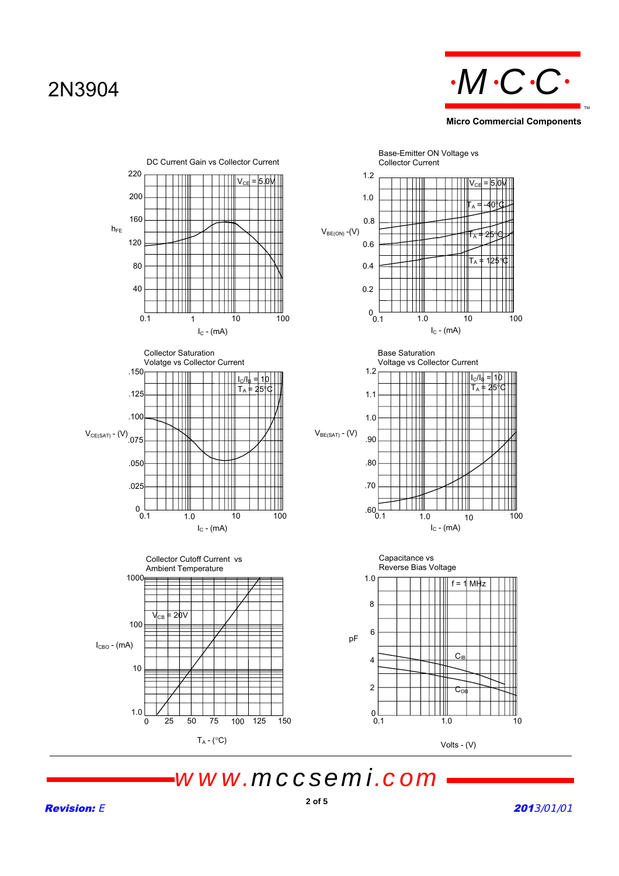### 2N3904



**Micro Commercial Components**



*www.mccsemi.com*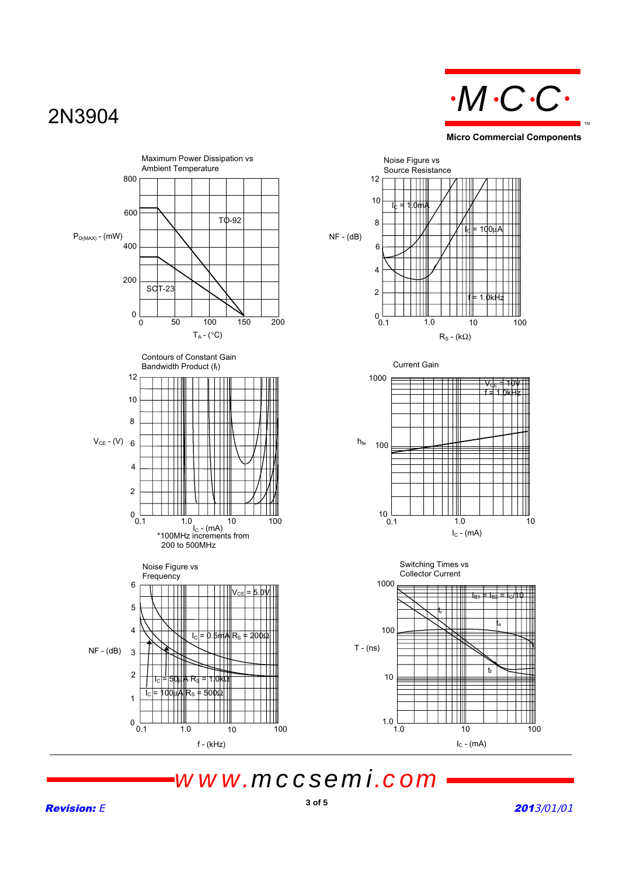# 2N3904



**Micro Commercial Components**



*www.mccsemi.com*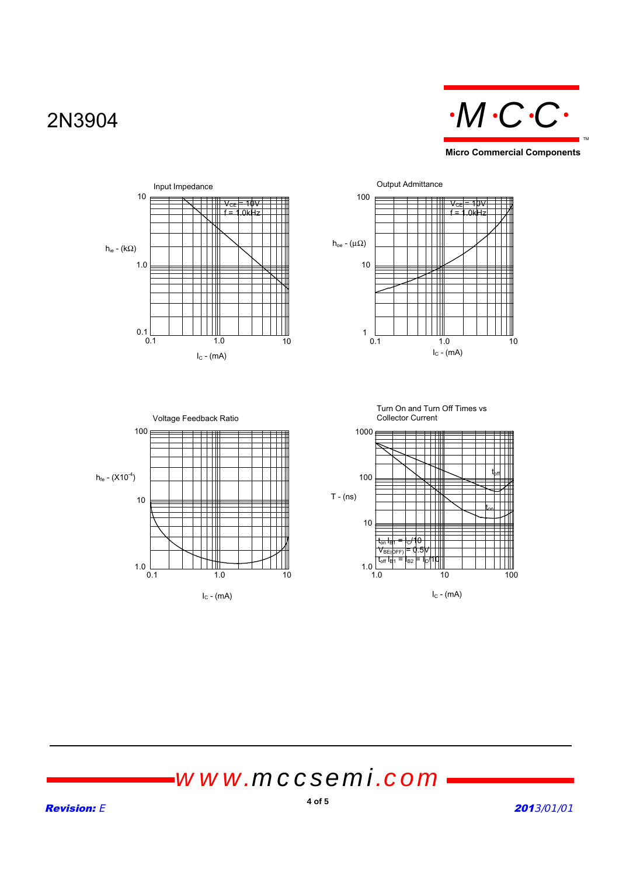### 2N3904



 $\rm{V_{\rm{CE}}}=10\rm{V}$ f = 1.0kHz







 $1.0\frac{10}{1.0}$ 

 $t_{\rm off}$ 

t<sub>on</sub> I<sub>B1</sub> = I<sub>C</sub>/10  $V_{BE(bFF)} = 0.5V$ 

1.0 10 100

# *www.mccsemi.com*